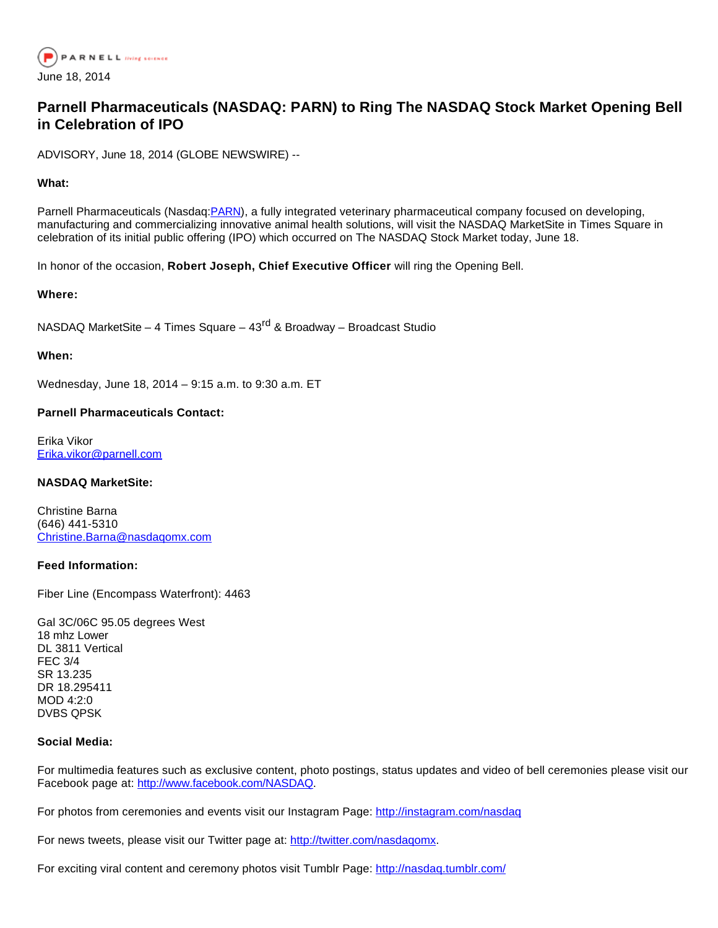

# **Parnell Pharmaceuticals (NASDAQ: PARN) to Ring The NASDAQ Stock Market Opening Bell in Celebration of IPO**

ADVISORY, June 18, 2014 (GLOBE NEWSWIRE) --

## **What:**

Parnell Pharmaceuticals (Nasdaq: [PARN](http://investor.shareholder.com/News/Listing?symbol=PARN&exchange=2)), a fully integrated veterinary pharmaceutical company focused on developing, manufacturing and commercializing innovative animal health solutions, will visit the NASDAQ MarketSite in Times Square in celebration of its initial public offering (IPO) which occurred on The NASDAQ Stock Market today, June 18.

In honor of the occasion, **Robert Joseph, Chief Executive Officer** will ring the Opening Bell.

#### **Where:**

NASDAQ MarketSite – 4 Times Square –  $43<sup>rd</sup>$  & Broadway – Broadcast Studio

#### **When:**

Wednesday, June 18, 2014 – 9:15 a.m. to 9:30 a.m. ET

## **Parnell Pharmaceuticals Contact:**

Erika Vikor [Erika.vikor@parnell.com](mailto:Erika.vikor@parnell.com)

#### **NASDAQ MarketSite:**

Christine Barna (646) 441-5310 [Christine.Barna@nasdaqomx.com](mailto:Christine.Barna@nasdaqomx.com)

#### **Feed Information:**

Fiber Line (Encompass Waterfront): 4463

Gal 3C/06C 95.05 degrees West 18 mhz Lower DL 3811 Vertical FEC 3/4 SR 13.235 DR 18.295411  $MOD 4.2.0$ DVBS QPSK

#### **Social Media:**

For multimedia features such as exclusive content, photo postings, status updates and video of bell ceremonies please visit our Facebook page at: [http://www.facebook.com/NASDAQ](http://investor.shareholder.com/Tracker?data=X4Js3MH40Yze6Db2Tl94_-Zhx0zUT8oK5JX9rvE52IZTMUSfkbJ-7VPuGntCP-qWgxnNvzbJqHDx-0-QwtCvktY4mbLMSzobT8utYVTvYkk%3D).

For photos from ceremonies and events visit our Instagram Page: [http://instagram.com/nasdaq](http://investor.shareholder.com/Tracker?data=X4Js3MH40Yze6Db2Tl94_8ncsX-U25VEX2n00kXXftnrY5rB_ibDtq1nSXiPaUrx6h7pjW0NvQyxEuzAbPyrXxFFcHkf6b0GUJh5sh1d4I8%3D)

For news tweets, please visit our Twitter page at: [http://twitter.com/nasdaqomx.](http://investor.shareholder.com/Tracker?data=X4Js3MH40Yze6Db2Tl94_wL1UrNFRdyxaUGOxh7rZm3Z-k86itDuFZ8zD0gBETGLfU_m1b_rDDAX0zXF_Vc4ZLj_tRTRu5bn8-F_wbn3CAc%3D)

For exciting viral content and ceremony photos visit Tumblr Page: [http://nasdaq.tumblr.com/](http://investor.shareholder.com/Tracker?data=X4Js3MH40Yze6Db2Tl94_5Df1nDXD0VsMHZ9pE44KP2w8_Z9wL8-e5kZAiw61nWqmAOAAtDSZgCU3IuQ2eZaMg%3D%3D)